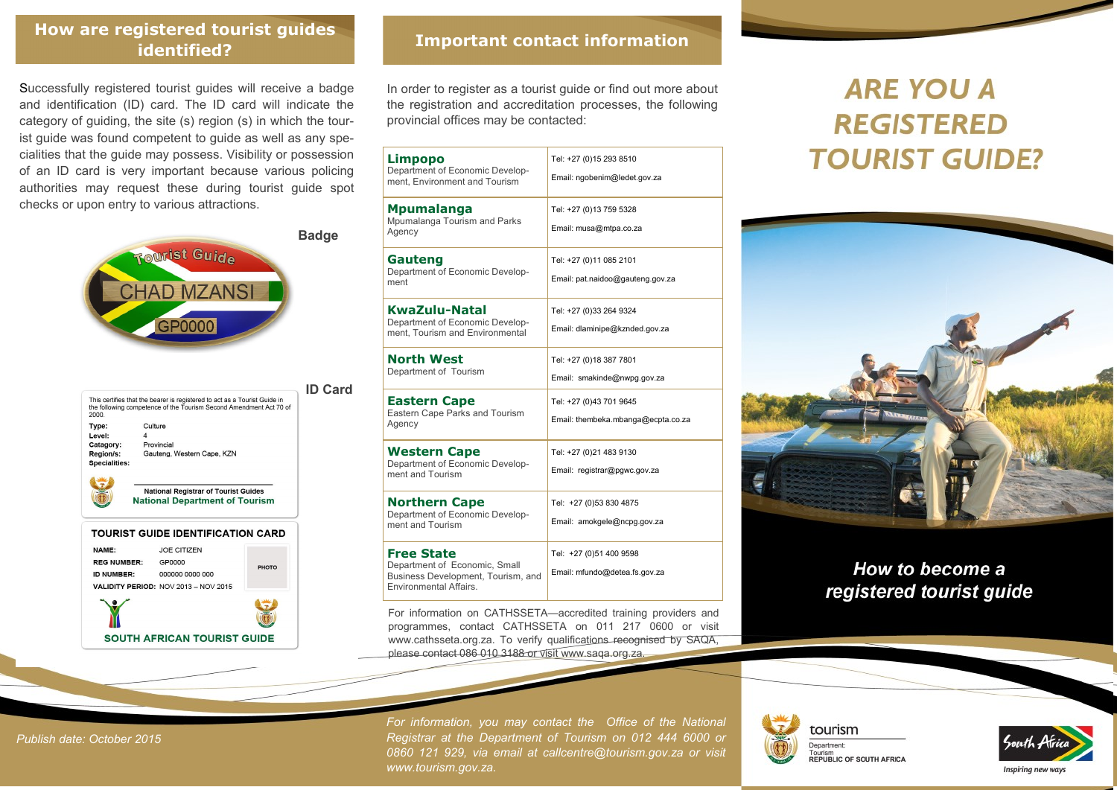### **Important contact information How are registered tourist guides identified?**

Successfully registered tourist guides will receive a badge and identification (ID) card. The ID card will indicate the category of guiding, the site (s) region (s) in which the tourist guide was found competent to guide as well as any specialities that the guide may possess. Visibility or possession of an ID card is very important because various policing authorities may request these during tourist guide spot checks or upon entry to various attractions.



| 2000.                | This certifies that the bearer is registered to act as a Tourist Guide in<br>the following competence of the Tourism Second Amendment Act 70 of |  |
|----------------------|-------------------------------------------------------------------------------------------------------------------------------------------------|--|
| Type:                | Culture                                                                                                                                         |  |
| Level:               | 4                                                                                                                                               |  |
| Catagory:            | Provincial                                                                                                                                      |  |
| Region/s:            | Gauteng, Western Cape, KZN                                                                                                                      |  |
| <b>Specialities:</b> |                                                                                                                                                 |  |
|                      |                                                                                                                                                 |  |
|                      | Motional Bootstead of Termina Ordelan                                                                                                           |  |

**National Department of Tourism** 

#### TOURIST GUIDE IDENTIFICATION CARD NAME: **JOE CITIZEN REG NUMBER:** GP0000 PHOTO **ID NUMBER:** 000000 0000 000 VALIDITY PERIOD: NOV 2013 - NOV 2015

SOUTH AFRICAN TOURIST GUIDE

In order to register as a tourist guide or find out more about the registration and accreditation processes, the following provincial offices may be contacted:

| Limpopo<br>Department of Economic Develop-<br>ment. Environment and Tourism                                               | Tel: +27 (0)15 293 8510<br>Email: ngobenim@ledet.gov.za       |  |
|---------------------------------------------------------------------------------------------------------------------------|---------------------------------------------------------------|--|
| <b>Mpumalanga</b><br>Mpumalanga Tourism and Parks<br>Agency                                                               | Tel: +27 (0)13 759 5328<br>Email: musa@mtpa.co.za             |  |
| Gauteng<br>Department of Economic Develop-<br>ment                                                                        | Tel: +27 (0)11 085 2101<br>Email: pat.naidoo@gauteng.gov.za   |  |
| KwaZulu-Natal<br>Department of Economic Develop-<br>ment. Tourism and Environmental                                       | Tel: +27 (0)33 264 9324<br>Email: dlaminipe@kznded.gov.za     |  |
| North West<br>Department of Tourism                                                                                       | Tel: +27 (0)18 387 7801<br>Email: smakinde@nwpg.gov.za        |  |
| <b>Eastern Cape</b><br>Eastern Cape Parks and Tourism<br>Agency                                                           | Tel: +27 (0)43 701 9645<br>Email: thembeka.mbanga@ecpta.co.za |  |
| <b>Western Cape</b><br>Department of Economic Develop-<br>ment and Tourism                                                | Tel: +27 (0)21 483 9130<br>Email: registrar@pgwc.gov.za       |  |
| <b>Northern Cape</b><br>Department of Economic Develop-<br>ment and Tourism                                               | Tel: +27 (0)53 830 4875<br>Email: amokgele@ncpg.gov.za        |  |
| <b>Free State</b><br>Department of Economic. Small<br>Business Development, Tourism, and<br><b>Environmental Affairs.</b> | Tel: +27 (0)51 400 9598<br>Email: mfundo@detea.fs.gov.za      |  |

For information on CATHSSETA—accredited training providers and programmes, contact CATHSSETA on 011 217 0600 or visit www.cathsseta.org.za. To verify qualifications recognised by SAQA, please contact 086 010 3188 or visit www.saqa.org.za.

# **ARE YOU A REGISTERED TOURIST GUIDE?**



## How to become a registered tourist guide

*For information, you may contact the Office of the National Registrar at the Department of Tourism on 012 444 6000 or 0860 121 929, via email at callcentre@tourism.gov.za or visit www.tourism.gov.za.* 







*Publish date: October 2015*